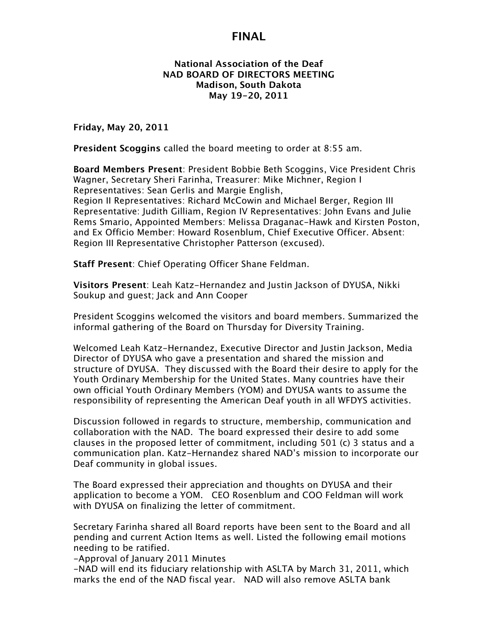#### **National Association of the Deaf NAD BOARD OF DIRECTORS MEETING Madison, South Dakota May 19-20, 2011**

**Friday, May 20, 2011**

**President Scoggins** called the board meeting to order at 8:55 am.

**Board Members Present**: President Bobbie Beth Scoggins, Vice President Chris Wagner, Secretary Sheri Farinha, Treasurer: Mike Michner, Region I Representatives: Sean Gerlis and Margie English, Region II Representatives: Richard McCowin and Michael Berger, Region III Representative: Judith Gilliam, Region IV Representatives: John Evans and Julie Rems Smario, Appointed Members: Melissa Draganac-Hawk and Kirsten Poston, and Ex Officio Member: Howard Rosenblum, Chief Executive Officer. Absent: Region III Representative Christopher Patterson (excused).

**Staff Present**: Chief Operating Officer Shane Feldman.

**Visitors Present**: Leah Katz-Hernandez and Justin Jackson of DYUSA, Nikki Soukup and guest; Jack and Ann Cooper

President Scoggins welcomed the visitors and board members. Summarized the informal gathering of the Board on Thursday for Diversity Training.

Welcomed Leah Katz-Hernandez, Executive Director and Justin Jackson, Media Director of DYUSA who gave a presentation and shared the mission and structure of DYUSA. They discussed with the Board their desire to apply for the Youth Ordinary Membership for the United States. Many countries have their own official Youth Ordinary Members (YOM) and DYUSA wants to assume the responsibility of representing the American Deaf youth in all WFDYS activities.

Discussion followed in regards to structure, membership, communication and collaboration with the NAD. The board expressed their desire to add some clauses in the proposed letter of commitment, including 501 (c) 3 status and a communication plan. Katz-Hernandez shared NAD's mission to incorporate our Deaf community in global issues.

The Board expressed their appreciation and thoughts on DYUSA and their application to become a YOM. CEO Rosenblum and COO Feldman will work with DYUSA on finalizing the letter of commitment.

Secretary Farinha shared all Board reports have been sent to the Board and all pending and current Action Items as well. Listed the following email motions needing to be ratified.

-Approval of January 2011 Minutes

-NAD will end its fiduciary relationship with ASLTA by March 31, 2011, which marks the end of the NAD fiscal year. NAD will also remove ASLTA bank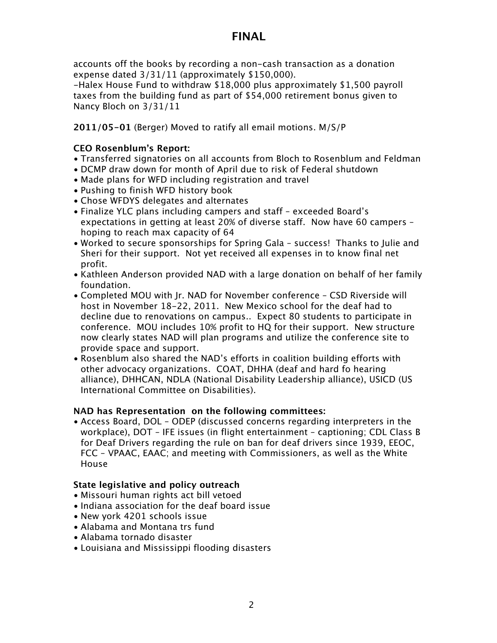accounts off the books by recording a non-cash transaction as a donation expense dated 3/31/11 (approximately \$150,000).

-Halex House Fund to withdraw \$18,000 plus approximately \$1,500 payroll taxes from the building fund as part of \$54,000 retirement bonus given to Nancy Bloch on 3/31/11

**2011/05-01** (Berger) Moved to ratify all email motions. M/S/P

### **CEO Rosenblum's Report:**

- Transferred signatories on all accounts from Bloch to Rosenblum and Feldman
- DCMP draw down for month of April due to risk of Federal shutdown
- Made plans for WFD including registration and travel
- Pushing to finish WFD history book
- Chose WFDYS delegates and alternates
- Finalize YLC plans including campers and staff exceeded Board's expectations in getting at least 20% of diverse staff. Now have 60 campers – hoping to reach max capacity of 64
- Worked to secure sponsorships for Spring Gala success! Thanks to Julie and Sheri for their support. Not yet received all expenses in to know final net profit.
- Kathleen Anderson provided NAD with a large donation on behalf of her family foundation.
- Completed MOU with Jr. NAD for November conference CSD Riverside will host in November 18-22, 2011. New Mexico school for the deaf had to decline due to renovations on campus.. Expect 80 students to participate in conference. MOU includes 10% profit to HQ for their support. New structure now clearly states NAD will plan programs and utilize the conference site to provide space and support.
- Rosenblum also shared the NAD's efforts in coalition building efforts with other advocacy organizations. COAT, DHHA (deaf and hard fo hearing alliance), DHHCAN, NDLA (National Disability Leadership alliance), USICD (US International Committee on Disabilities).

### **NAD has Representation on the following committees:**

• Access Board, DOL – ODEP (discussed concerns regarding interpreters in the workplace), DOT – IFE issues (in flight entertainment – captioning; CDL Class B for Deaf Drivers regarding the rule on ban for deaf drivers since 1939, EEOC, FCC – VPAAC, EAAC; and meeting with Commissioners, as well as the White House

### **State legislative and policy outreach**

- Missouri human rights act bill vetoed
- Indiana association for the deaf board issue
- New york 4201 schools issue
- Alabama and Montana trs fund
- Alabama tornado disaster
- Louisiana and Mississippi flooding disasters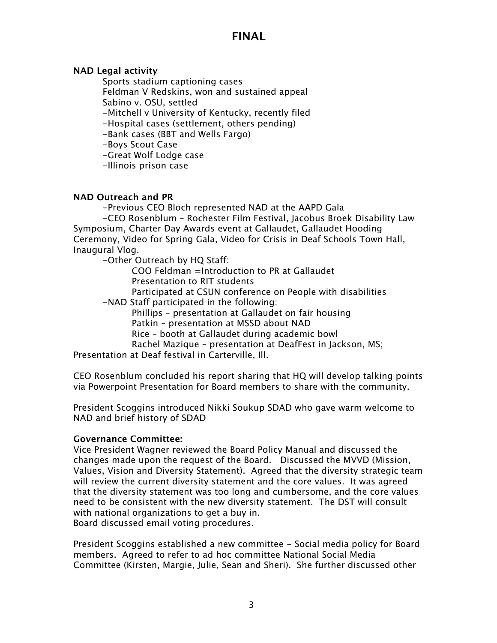### **NAD Legal activity**

Sports stadium captioning cases Feldman V Redskins, won and sustained appeal Sabino v. OSU, settled -Mitchell v University of Kentucky, recently filed

-Hospital cases (settlement, others pending)

-Bank cases (BBT and Wells Fargo)

-Boys Scout Case

-Great Wolf Lodge case

-Illinois prison case

### **NAD Outreach and PR**

-Previous CEO Bloch represented NAD at the AAPD Gala

-CEO Rosenblum – Rochester Film Festival, Jacobus Broek Disability Law Symposium, Charter Day Awards event at Gallaudet, Gallaudet Hooding Ceremony, Video for Spring Gala, Video for Crisis in Deaf Schools Town Hall, Inaugural Vlog.

-Other Outreach by HQ Staff:

COO Feldman =Introduction to PR at Gallaudet

Presentation to RIT students

Participated at CSUN conference on People with disabilities

-NAD Staff participated in the following:

Phillips – presentation at Gallaudet on fair housing

Patkin – presentation at MSSD about NAD

Rice – booth at Gallaudet during academic bowl

Rachel Mazique – presentation at DeafFest in Jackson, MS;

Presentation at Deaf festival in Carterville, Ill.

CEO Rosenblum concluded his report sharing that HQ will develop talking points via Powerpoint Presentation for Board members to share with the community.

President Scoggins introduced Nikki Soukup SDAD who gave warm welcome to NAD and brief history of SDAD

### **Governance Committee:**

Vice President Wagner reviewed the Board Policy Manual and discussed the changes made upon the request of the Board. Discussed the MVVD (Mission, Values, Vision and Diversity Statement). Agreed that the diversity strategic team will review the current diversity statement and the core values. It was agreed that the diversity statement was too long and cumbersome, and the core values need to be consistent with the new diversity statement. The DST will consult with national organizations to get a buy in. Board discussed email voting procedures.

President Scoggins established a new committee - Social media policy for Board members. Agreed to refer to ad hoc committee National Social Media Committee (Kirsten, Margie, Julie, Sean and Sheri). She further discussed other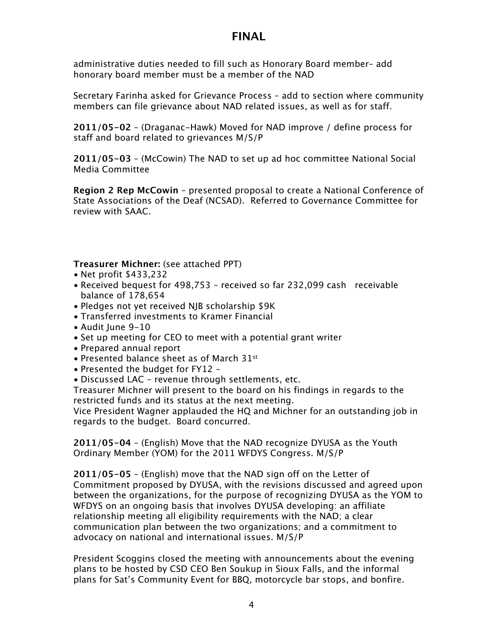administrative duties needed to fill such as Honorary Board member– add honorary board member must be a member of the NAD

Secretary Farinha asked for Grievance Process – add to section where community members can file grievance about NAD related issues, as well as for staff.

**2011/05-02** – (Draganac-Hawk) Moved for NAD improve / define process for staff and board related to grievances M/S/P

**2011/05-03** – (McCowin) The NAD to set up ad hoc committee National Social Media Committee

**Region 2 Rep McCowin** – presented proposal to create a National Conference of State Associations of the Deaf (NCSAD). Referred to Governance Committee for review with SAAC.

**Treasurer Michner:** (see attached PPT)

- Net profit \$433,232
- Received bequest for 498,753 received so far 232,099 cash receivable balance of 178,654
- Pledges not yet received NJB scholarship \$9K
- Transferred investments to Kramer Financial
- Audit June 9-10
- Set up meeting for CEO to meet with a potential grant writer
- Prepared annual report
- Presented balance sheet as of March 31st
- Presented the budget for FY12 –
- Discussed LAC revenue through settlements, etc.

Treasurer Michner will present to the board on his findings in regards to the restricted funds and its status at the next meeting.

Vice President Wagner applauded the HQ and Michner for an outstanding job in regards to the budget. Board concurred.

**2011/05-04** – (English) Move that the NAD recognize DYUSA as the Youth Ordinary Member (YOM) for the 2011 WFDYS Congress. M/S/P

**2011/05-05** – (English) move that the NAD sign off on the Letter of Commitment proposed by DYUSA, with the revisions discussed and agreed upon between the organizations, for the purpose of recognizing DYUSA as the YOM to WFDYS on an ongoing basis that involves DYUSA developing: an affiliate relationship meeting all eligibility requirements with the NAD; a clear communication plan between the two organizations; and a commitment to advocacy on national and international issues. M/S/P

President Scoggins closed the meeting with announcements about the evening plans to be hosted by CSD CEO Ben Soukup in Sioux Falls, and the informal plans for Sat's Community Event for BBQ, motorcycle bar stops, and bonfire.